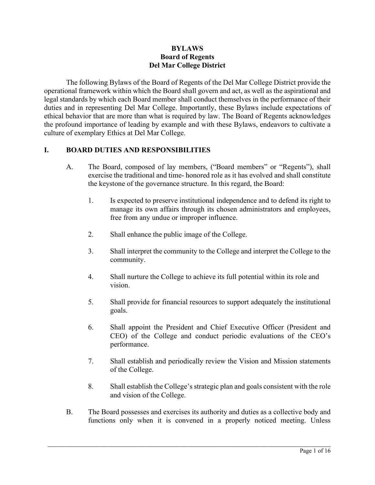#### **BYLAWS Board of Regents Del Mar College District**

The following Bylaws of the Board of Regents of the Del Mar College District provide the operational framework within which the Board shall govern and act, as well as the aspirational and legal standards by which each Board member shall conduct themselves in the performance of their duties and in representing Del Mar College. Importantly, these Bylaws include expectations of ethical behavior that are more than what is required by law. The Board of Regents acknowledges the profound importance of leading by example and with these Bylaws, endeavors to cultivate a culture of exemplary Ethics at Del Mar College.

# **I. BOARD DUTIES AND RESPONSIBILITIES**

- A. The Board, composed of lay members, ("Board members" or "Regents"), shall exercise the traditional and time- honored role as it has evolved and shall constitute the keystone of the governance structure. In this regard, the Board:
	- 1. Is expected to preserve institutional independence and to defend its right to manage its own affairs through its chosen administrators and employees, free from any undue or improper influence.
	- 2. Shall enhance the public image of the College.
	- 3. Shall interpret the community to the College and interpret the College to the community.
	- 4. Shall nurture the College to achieve its full potential within its role and vision.
	- 5. Shall provide for financial resources to support adequately the institutional goals.
	- 6. Shall appoint the President and Chief Executive Officer (President and CEO) of the College and conduct periodic evaluations of the CEO's performance.
	- 7. Shall establish and periodically review the Vision and Mission statements of the College.
	- 8. Shall establish the College's strategic plan and goals consistent with the role and vision of the College.
- B. The Board possesses and exercises its authority and duties as a collective body and functions only when it is convened in a properly noticed meeting. Unless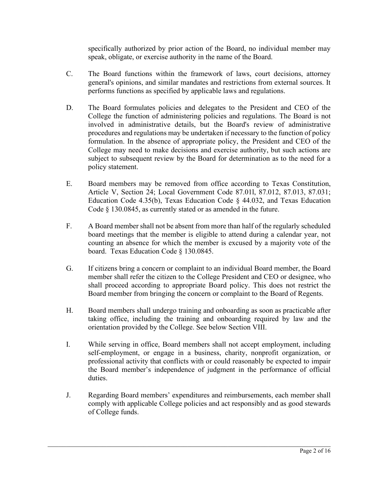specifically authorized by prior action of the Board, no individual member may speak, obligate, or exercise authority in the name of the Board.

- C. The Board functions within the framework of laws, court decisions, attorney general's opinions, and similar mandates and restrictions from external sources. It performs functions as specified by applicable laws and regulations.
- D. The Board formulates policies and delegates to the President and CEO of the College the function of administering policies and regulations. The Board is not involved in administrative details, but the Board's review of administrative procedures and regulations may be undertaken if necessary to the function of policy formulation. In the absence of appropriate policy, the President and CEO of the College may need to make decisions and exercise authority, but such actions are subject to subsequent review by the Board for determination as to the need for a policy statement.
- E. Board members may be removed from office according to Texas Constitution, Article V, Section 24; Local Government Code 87.01l, 87.012, 87.013, 87.031; Education Code 4.35(b), Texas Education Code § 44.032, and Texas Education Code § 130.0845, as currently stated or as amended in the future.
- F. A Board member shall not be absent from more than half of the regularly scheduled board meetings that the member is eligible to attend during a calendar year, not counting an absence for which the member is excused by a majority vote of the board. Texas Education Code § 130.0845.
- G. If citizens bring a concern or complaint to an individual Board member, the Board member shall refer the citizen to the College President and CEO or designee, who shall proceed according to appropriate Board policy. This does not restrict the Board member from bringing the concern or complaint to the Board of Regents.
- H. Board members shall undergo training and onboarding as soon as practicable after taking office, including the training and onboarding required by law and the orientation provided by the College. See below Section VIII.
- I. While serving in office, Board members shall not accept employment, including self-employment, or engage in a business, charity, nonprofit organization, or professional activity that conflicts with or could reasonably be expected to impair the Board member's independence of judgment in the performance of official duties.
- J. Regarding Board members' expenditures and reimbursements, each member shall comply with applicable College policies and act responsibly and as good stewards of College funds.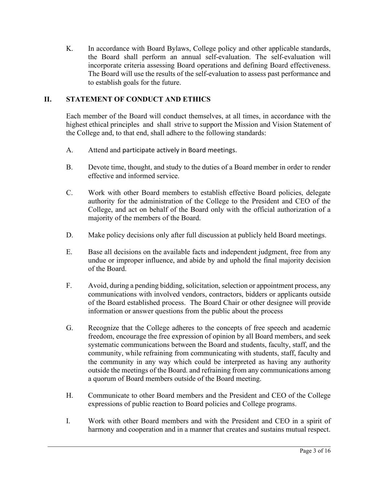K. In accordance with Board Bylaws, College policy and other applicable standards, the Board shall perform an annual self-evaluation. The self-evaluation will incorporate criteria assessing Board operations and defining Board effectiveness. The Board will use the results of the self-evaluation to assess past performance and to establish goals for the future.

# **II. STATEMENT OF CONDUCT AND ETHICS**

Each member of the Board will conduct themselves, at all times, in accordance with the highest ethical principles and shall strive to support the Mission and Vision Statement of the College and, to that end, shall adhere to the following standards:

- A. Attend and participate actively in Board meetings.
- B. Devote time, thought, and study to the duties of a Board member in order to render effective and informed service.
- C. Work with other Board members to establish effective Board policies, delegate authority for the administration of the College to the President and CEO of the College, and act on behalf of the Board only with the official authorization of a majority of the members of the Board.
- D. Make policy decisions only after full discussion at publicly held Board meetings.
- E. Base all decisions on the available facts and independent judgment, free from any undue or improper influence, and abide by and uphold the final majority decision of the Board.
- F. Avoid, during a pending bidding, solicitation, selection or appointment process, any communications with involved vendors, contractors, bidders or applicants outside of the Board established process. The Board Chair or other designee will provide information or answer questions from the public about the process
- G. Recognize that the College adheres to the concepts of free speech and academic freedom, encourage the free expression of opinion by all Board members, and seek systematic communications between the Board and students, faculty, staff, and the community, while refraining from communicating with students, staff, faculty and the community in any way which could be interpreted as having any authority outside the meetings of the Board. and refraining from any communications among a quorum of Board members outside of the Board meeting.
- H. Communicate to other Board members and the President and CEO of the College expressions of public reaction to Board policies and College programs.
- I. Work with other Board members and with the President and CEO in a spirit of harmony and cooperation and in a manner that creates and sustains mutual respect.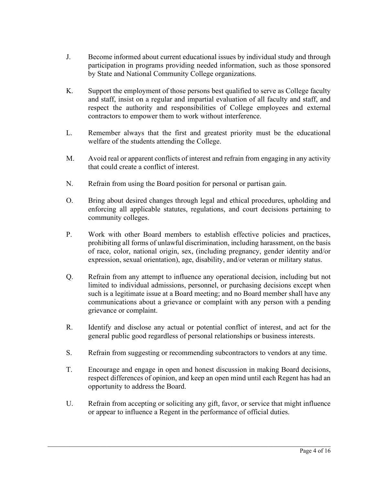- J. Become informed about current educational issues by individual study and through participation in programs providing needed information, such as those sponsored by State and National Community College organizations.
- K. Support the employment of those persons best qualified to serve as College faculty and staff, insist on a regular and impartial evaluation of all faculty and staff, and respect the authority and responsibilities of College employees and external contractors to empower them to work without interference.
- L. Remember always that the first and greatest priority must be the educational welfare of the students attending the College.
- M. Avoid real or apparent conflicts of interest and refrain from engaging in any activity that could create a conflict of interest.
- N. Refrain from using the Board position for personal or partisan gain.
- O. Bring about desired changes through legal and ethical procedures, upholding and enforcing all applicable statutes, regulations, and court decisions pertaining to community colleges.
- P. Work with other Board members to establish effective policies and practices, prohibiting all forms of unlawful discrimination, including harassment, on the basis of race, color, national origin, sex, (including pregnancy, gender identity and/or expression, sexual orientation), age, disability, and/or veteran or military status.
- Q. Refrain from any attempt to influence any operational decision, including but not limited to individual admissions, personnel, or purchasing decisions except when such is a legitimate issue at a Board meeting; and no Board member shall have any communications about a grievance or complaint with any person with a pending grievance or complaint.
- R. Identify and disclose any actual or potential conflict of interest, and act for the general public good regardless of personal relationships or business interests.
- S. Refrain from suggesting or recommending subcontractors to vendors at any time.
- T. Encourage and engage in open and honest discussion in making Board decisions, respect differences of opinion, and keep an open mind until each Regent has had an opportunity to address the Board.
- U. Refrain from accepting or soliciting any gift, favor, or service that might influence or appear to influence a Regent in the performance of official duties.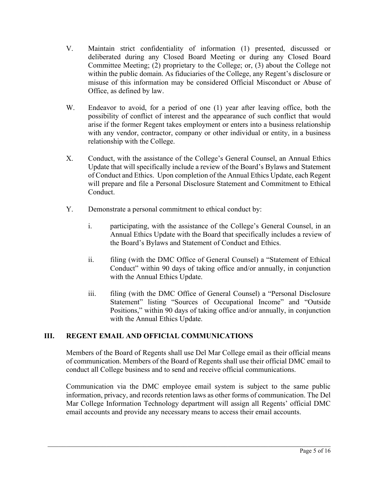- V. Maintain strict confidentiality of information (1) presented, discussed or deliberated during any Closed Board Meeting or during any Closed Board Committee Meeting; (2) proprietary to the College; or, (3) about the College not within the public domain. As fiduciaries of the College, any Regent's disclosure or misuse of this information may be considered Official Misconduct or Abuse of Office, as defined by law.
- W. Endeavor to avoid, for a period of one (1) year after leaving office, both the possibility of conflict of interest and the appearance of such conflict that would arise if the former Regent takes employment or enters into a business relationship with any vendor, contractor, company or other individual or entity, in a business relationship with the College.
- X. Conduct, with the assistance of the College's General Counsel, an Annual Ethics Update that will specifically include a review of the Board's Bylaws and Statement of Conduct and Ethics. Upon completion of the Annual Ethics Update, each Regent will prepare and file a Personal Disclosure Statement and Commitment to Ethical Conduct.
- Y. Demonstrate a personal commitment to ethical conduct by:
	- i. participating, with the assistance of the College's General Counsel, in an Annual Ethics Update with the Board that specifically includes a review of the Board's Bylaws and Statement of Conduct and Ethics.
	- ii. filing (with the DMC Office of General Counsel) a "Statement of Ethical Conduct" within 90 days of taking office and/or annually, in conjunction with the Annual Ethics Update.
	- iii. filing (with the DMC Office of General Counsel) a "Personal Disclosure Statement" listing "Sources of Occupational Income" and "Outside Positions," within 90 days of taking office and/or annually, in conjunction with the Annual Ethics Update.

# **III. REGENT EMAIL AND OFFICIAL COMMUNICATIONS**

Members of the Board of Regents shall use Del Mar College email as their official means of communication. Members of the Board of Regents shall use their official DMC email to conduct all College business and to send and receive official communications.

Communication via the DMC employee email system is subject to the same public information, privacy, and records retention laws as other forms of communication. The Del Mar College Information Technology department will assign all Regents' official DMC email accounts and provide any necessary means to access their email accounts.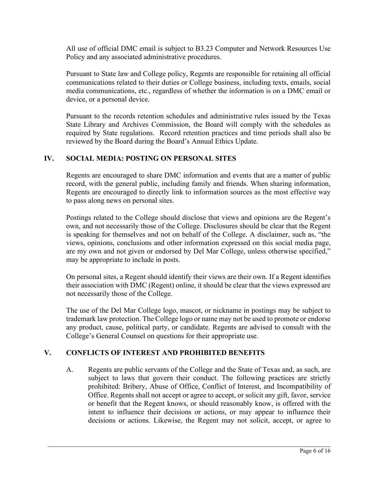All use of official DMC email is subject to B3.23 Computer and Network Resources Use Policy and any associated administrative procedures.

Pursuant to State law and College policy, Regents are responsible for retaining all official communications related to their duties or College business, including texts, emails, social media communications, etc., regardless of whether the information is on a DMC email or device, or a personal device.

Pursuant to the records retention schedules and administrative rules issued by the Texas State Library and Archives Commission, the Board will comply with the schedules as required by State regulations. Record retention practices and time periods shall also be reviewed by the Board during the Board's Annual Ethics Update.

# **IV. SOCIAL MEDIA: POSTING ON PERSONAL SITES**

Regents are encouraged to share DMC information and events that are a matter of public record, with the general public, including family and friends. When sharing information, Regents are encouraged to directly link to information sources as the most effective way to pass along news on personal sites.

Postings related to the College should disclose that views and opinions are the Regent's own, and not necessarily those of the College. Disclosures should be clear that the Regent is speaking for themselves and not on behalf of the College. A disclaimer, such as, "the views, opinions, conclusions and other information expressed on this social media page, are my own and not given or endorsed by Del Mar College, unless otherwise specified," may be appropriate to include in posts.

On personal sites, a Regent should identify their views are their own. If a Regent identifies their association with DMC (Regent) online, it should be clear that the views expressed are not necessarily those of the College.

The use of the Del Mar College logo, mascot, or nickname in postings may be subject to trademark law protection. The College logo or name may not be used to promote or endorse any product, cause, political party, or candidate. Regents are advised to consult with the College's General Counsel on questions for their appropriate use.

# **V. CONFLICTS OF INTEREST AND PROHIBITED BENEFITS**

A. Regents are public servants of the College and the State of Texas and, as such, are subject to laws that govern their conduct. The following practices are strictly prohibited: Bribery, Abuse of Office, Conflict of Interest, and Incompatibility of Office. Regents shall not accept or agree to accept, or solicit any gift, favor, service or benefit that the Regent knows, or should reasonably know, is offered with the intent to influence their decisions or actions, or may appear to influence their decisions or actions. Likewise, the Regent may not solicit, accept, or agree to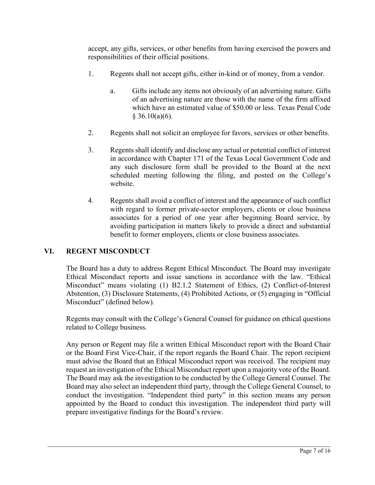accept, any gifts, services, or other benefits from having exercised the powers and responsibilities of their official positions.

- 1. Regents shall not accept gifts, either in-kind or of money, from a vendor.
	- a. Gifts include any items not obviously of an advertising nature. Gifts of an advertising nature are those with the name of the firm affixed which have an estimated value of \$50.00 or less. Texas Penal Code  $§$  36.10(a)(6).
- 2. Regents shall not solicit an employee for favors, services or other benefits.
- 3. Regents shall identify and disclose any actual or potential conflict of interest in accordance with Chapter 171 of the Texas Local Government Code and any such disclosure form shall be provided to the Board at the next scheduled meeting following the filing, and posted on the College's website.
- 4. Regents shall avoid a conflict of interest and the appearance of such conflict with regard to former private-sector employers, clients or close business associates for a period of one year after beginning Board service, by avoiding participation in matters likely to provide a direct and substantial benefit to former employers, clients or close business associates.

# **VI. REGENT MISCONDUCT**

The Board has a duty to address Regent Ethical Misconduct. The Board may investigate Ethical Misconduct reports and issue sanctions in accordance with the law. "Ethical Misconduct" means violating (1) B2.1.2 Statement of Ethics, (2) Conflict-of-Interest Abstention, (3) Disclosure Statements, (4) Prohibited Actions, or (5) engaging in "Official Misconduct" (defined below).

Regents may consult with the College's General Counsel for guidance on ethical questions related to College business.

Any person or Regent may file a written Ethical Misconduct report with the Board Chair or the Board First Vice-Chair, if the report regards the Board Chair. The report recipient must advise the Board that an Ethical Misconduct report was received. The recipient may request an investigation of the Ethical Misconduct report upon a majority vote of the Board. The Board may ask the investigation to be conducted by the College General Counsel. The Board may also select an independent third party, through the College General Counsel, to conduct the investigation. "Independent third party" in this section means any person appointed by the Board to conduct this investigation. The independent third party will prepare investigative findings for the Board's review.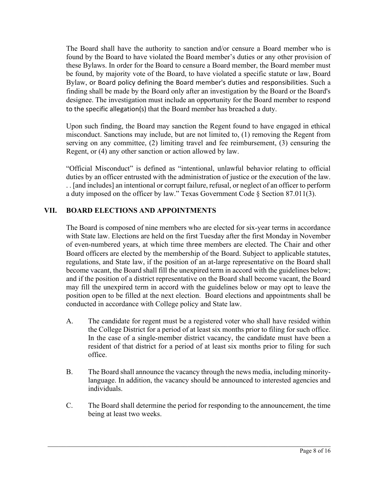The Board shall have the authority to sanction and/or censure a Board member who is found by the Board to have violated the Board member's duties or any other provision of these Bylaws. In order for the Board to censure a Board member, the Board member must be found, by majority vote of the Board, to have violated a specific statute or law, Board Bylaw, or Board policy defining the Board member's duties and responsibilities. Such a finding shall be made by the Board only after an investigation by the Board or the Board's designee. The investigation must include an opportunity for the Board member to respond to the specific allegation(s) that the Board member has breached a duty.

Upon such finding, the Board may sanction the Regent found to have engaged in ethical misconduct. Sanctions may include, but are not limited to, (1) removing the Regent from serving on any committee, (2) limiting travel and fee reimbursement, (3) censuring the Regent, or (4) any other sanction or action allowed by law.

"Official Misconduct" is defined as "intentional, unlawful behavior relating to official duties by an officer entrusted with the administration of justice or the execution of the law. . . [and includes] an intentional or corrupt failure, refusal, or neglect of an officer to perform a duty imposed on the officer by law." Texas Government Code § Section 87.011(3).

# **VII. BOARD ELECTIONS AND APPOINTMENTS**

The Board is composed of nine members who are elected for six-year terms in accordance with State law. Elections are held on the first Tuesday after the first Monday in November of even-numbered years, at which time three members are elected. The Chair and other Board officers are elected by the membership of the Board. Subject to applicable statutes, regulations, and State law, if the position of an at-large representative on the Board shall become vacant, the Board shall fill the unexpired term in accord with the guidelines below; and if the position of a district representative on the Board shall become vacant, the Board may fill the unexpired term in accord with the guidelines below or may opt to leave the position open to be filled at the next election. Board elections and appointments shall be conducted in accordance with College policy and State law.

- A. The candidate for regent must be a registered voter who shall have resided within the College District for a period of at least six months prior to filing for such office. In the case of a single-member district vacancy, the candidate must have been a resident of that district for a period of at least six months prior to filing for such office.
- B. The Board shall announce the vacancy through the news media, including minoritylanguage. In addition, the vacancy should be announced to interested agencies and individuals.
- C. The Board shall determine the period for responding to the announcement, the time being at least two weeks.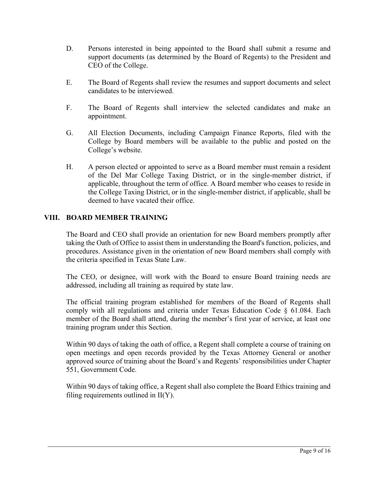- D. Persons interested in being appointed to the Board shall submit a resume and support documents (as determined by the Board of Regents) to the President and CEO of the College.
- E. The Board of Regents shall review the resumes and support documents and select candidates to be interviewed.
- F. The Board of Regents shall interview the selected candidates and make an appointment.
- G. All Election Documents, including Campaign Finance Reports, filed with the College by Board members will be available to the public and posted on the College's website.
- H. A person elected or appointed to serve as a Board member must remain a resident of the Del Mar College Taxing District, or in the single-member district, if applicable, throughout the term of office. A Board member who ceases to reside in the College Taxing District, or in the single-member district, if applicable, shall be deemed to have vacated their office.

# **VIII. BOARD MEMBER TRAINING**

The Board and CEO shall provide an orientation for new Board members promptly after taking the Oath of Office to assist them in understanding the Board's function, policies, and procedures. Assistance given in the orientation of new Board members shall comply with the criteria specified in Texas State Law.

The CEO, or designee, will work with the Board to ensure Board training needs are addressed, including all training as required by state law.

The official training program established for members of the Board of Regents shall comply with all regulations and criteria under Texas Education Code § 61.084. Each member of the Board shall attend, during the member's first year of service, at least one training program under this Section.

Within 90 days of taking the oath of office, a Regent shall complete a course of training on open meetings and open records provided by the Texas Attorney General or another approved source of training about the Board's and Regents' responsibilities under Chapter 551, Government Code.

Within 90 days of taking office, a Regent shall also complete the Board Ethics training and filing requirements outlined in II(Y).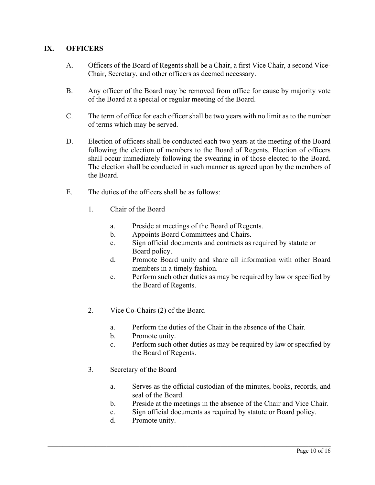# **IX. OFFICERS**

- A. Officers of the Board of Regents shall be a Chair, a first Vice Chair, a second Vice-Chair, Secretary, and other officers as deemed necessary.
- B. Any officer of the Board may be removed from office for cause by majority vote of the Board at a special or regular meeting of the Board.
- C. The term of office for each officer shall be two years with no limit as to the number of terms which may be served.
- D. Election of officers shall be conducted each two years at the meeting of the Board following the election of members to the Board of Regents. Election of officers shall occur immediately following the swearing in of those elected to the Board. The election shall be conducted in such manner as agreed upon by the members of the Board.
- E. The duties of the officers shall be as follows:
	- 1. Chair of the Board
		- a. Preside at meetings of the Board of Regents.
		- b. Appoints Board Committees and Chairs.
		- c. Sign official documents and contracts as required by statute or Board policy.
		- d. Promote Board unity and share all information with other Board members in a timely fashion.
		- e. Perform such other duties as may be required by law or specified by the Board of Regents.
	- 2. Vice Co-Chairs (2) of the Board
		- a. Perform the duties of the Chair in the absence of the Chair.
		- b. Promote unity.
		- c. Perform such other duties as may be required by law or specified by the Board of Regents.
	- 3. Secretary of the Board
		- a. Serves as the official custodian of the minutes, books, records, and seal of the Board.
		- b. Preside at the meetings in the absence of the Chair and Vice Chair.
		- c. Sign official documents as required by statute or Board policy.
		- d. Promote unity.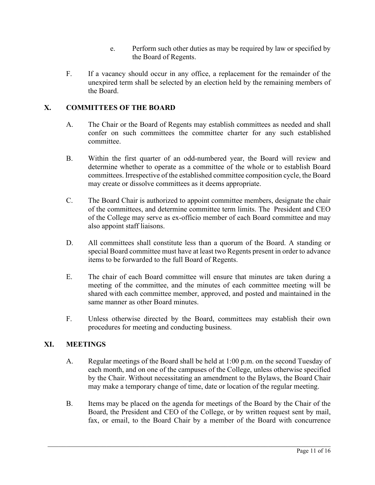- e. Perform such other duties as may be required by law or specified by the Board of Regents.
- F. If a vacancy should occur in any office, a replacement for the remainder of the unexpired term shall be selected by an election held by the remaining members of the Board.

# **X. COMMITTEES OF THE BOARD**

- A. The Chair or the Board of Regents may establish committees as needed and shall confer on such committees the committee charter for any such established committee.
- B. Within the first quarter of an odd-numbered year, the Board will review and determine whether to operate as a committee of the whole or to establish Board committees. Irrespective of the established committee composition cycle, the Board may create or dissolve committees as it deems appropriate.
- C. The Board Chair is authorized to appoint committee members, designate the chair of the committees, and determine committee term limits. The President and CEO of the College may serve as ex-officio member of each Board committee and may also appoint staff liaisons.
- D. All committees shall constitute less than a quorum of the Board. A standing or special Board committee must have at least two Regents present in order to advance items to be forwarded to the full Board of Regents.
- E. The chair of each Board committee will ensure that minutes are taken during a meeting of the committee, and the minutes of each committee meeting will be shared with each committee member, approved, and posted and maintained in the same manner as other Board minutes.
- F. Unless otherwise directed by the Board, committees may establish their own procedures for meeting and conducting business.

# **XI. MEETINGS**

- A. Regular meetings of the Board shall be held at 1:00 p.m. on the second Tuesday of each month, and on one of the campuses of the College, unless otherwise specified by the Chair. Without necessitating an amendment to the Bylaws, the Board Chair may make a temporary change of time, date or location of the regular meeting.
- B. Items may be placed on the agenda for meetings of the Board by the Chair of the Board, the President and CEO of the College, or by written request sent by mail, fax, or email, to the Board Chair by a member of the Board with concurrence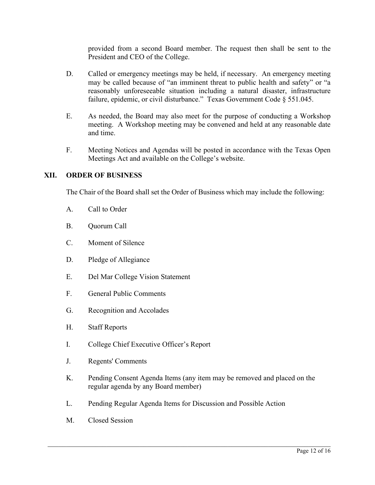provided from a second Board member. The request then shall be sent to the President and CEO of the College.

- D. Called or emergency meetings may be held, if necessary. An emergency meeting may be called because of "an imminent threat to public health and safety" or "a reasonably unforeseeable situation including a natural disaster, infrastructure failure, epidemic, or civil disturbance." Texas Government Code § 551.045.
- E. As needed, the Board may also meet for the purpose of conducting a Workshop meeting. A Workshop meeting may be convened and held at any reasonable date and time.
- F. Meeting Notices and Agendas will be posted in accordance with the Texas Open Meetings Act and available on the College's website.

#### **XII. ORDER OF BUSINESS**

The Chair of the Board shall set the Order of Business which may include the following:

- A. Call to Order
- B. Quorum Call
- C. Moment of Silence
- D. Pledge of Allegiance
- E. Del Mar College Vision Statement
- F. General Public Comments
- G. Recognition and Accolades
- H. Staff Reports
- I. College Chief Executive Officer's Report
- J. Regents' Comments
- K. Pending Consent Agenda Items (any item may be removed and placed on the regular agenda by any Board member)
- L. Pending Regular Agenda Items for Discussion and Possible Action
- M. Closed Session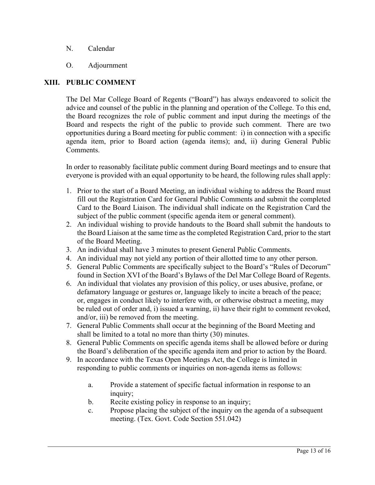- N. Calendar
- O. Adjournment

### **XIII. PUBLIC COMMENT**

The Del Mar College Board of Regents ("Board") has always endeavored to solicit the advice and counsel of the public in the planning and operation of the College. To this end, the Board recognizes the role of public comment and input during the meetings of the Board and respects the right of the public to provide such comment. There are two opportunities during a Board meeting for public comment: i) in connection with a specific agenda item, prior to Board action (agenda items); and, ii) during General Public Comments.

In order to reasonably facilitate public comment during Board meetings and to ensure that everyone is provided with an equal opportunity to be heard, the following rules shall apply:

- 1. Prior to the start of a Board Meeting, an individual wishing to address the Board must fill out the Registration Card for General Public Comments and submit the completed Card to the Board Liaison. The individual shall indicate on the Registration Card the subject of the public comment (specific agenda item or general comment).
- 2. An individual wishing to provide handouts to the Board shall submit the handouts to the Board Liaison at the same time as the completed Registration Card, prior to the start of the Board Meeting.
- 3. An individual shall have 3 minutes to present General Public Comments.
- 4. An individual may not yield any portion of their allotted time to any other person.
- 5. General Public Comments are specifically subject to the Board's "Rules of Decorum" found in Section XVI of the Board's Bylaws of the Del Mar College Board of Regents.
- 6. An individual that violates any provision of this policy, or uses abusive, profane, or defamatory language or gestures or, language likely to incite a breach of the peace; or, engages in conduct likely to interfere with, or otherwise obstruct a meeting, may be ruled out of order and, i) issued a warning, ii) have their right to comment revoked, and/or, iii) be removed from the meeting.
- 7. General Public Comments shall occur at the beginning of the Board Meeting and shall be limited to a total no more than thirty (30) minutes.
- 8. General Public Comments on specific agenda items shall be allowed before or during the Board's deliberation of the specific agenda item and prior to action by the Board.
- 9. In accordance with the Texas Open Meetings Act, the College is limited in responding to public comments or inquiries on non-agenda items as follows:
	- a. Provide a statement of specific factual information in response to an inquiry;
	- b. Recite existing policy in response to an inquiry;
	- c. Propose placing the subject of the inquiry on the agenda of a subsequent meeting. (Tex. Govt. Code Section 551.042)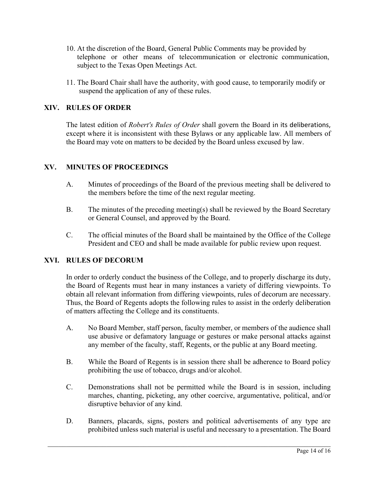- 10. At the discretion of the Board, General Public Comments may be provided by telephone or other means of telecommunication or electronic communication, subject to the Texas Open Meetings Act.
- 11. The Board Chair shall have the authority, with good cause, to temporarily modify or suspend the application of any of these rules.

# **XIV. RULES OF ORDER**

The latest edition of *Robert's Rules of Order* shall govern the Board in its deliberations, except where it is inconsistent with these Bylaws or any applicable law. All members of the Board may vote on matters to be decided by the Board unless excused by law.

#### **XV. MINUTES OF PROCEEDINGS**

- A. Minutes of proceedings of the Board of the previous meeting shall be delivered to the members before the time of the next regular meeting.
- B. The minutes of the preceding meeting(s) shall be reviewed by the Board Secretary or General Counsel, and approved by the Board.
- C. The official minutes of the Board shall be maintained by the Office of the College President and CEO and shall be made available for public review upon request.

# **XVI. RULES OF DECORUM**

In order to orderly conduct the business of the College, and to properly discharge its duty, the Board of Regents must hear in many instances a variety of differing viewpoints. To obtain all relevant information from differing viewpoints, rules of decorum are necessary. Thus, the Board of Regents adopts the following rules to assist in the orderly deliberation of matters affecting the College and its constituents.

- A. No Board Member, staff person, faculty member, or members of the audience shall use abusive or defamatory language or gestures or make personal attacks against any member of the faculty, staff, Regents, or the public at any Board meeting.
- B. While the Board of Regents is in session there shall be adherence to Board policy prohibiting the use of tobacco, drugs and/or alcohol.
- C. Demonstrations shall not be permitted while the Board is in session, including marches, chanting, picketing, any other coercive, argumentative, political, and/or disruptive behavior of any kind.
- D. Banners, placards, signs, posters and political advertisements of any type are prohibited unless such material is useful and necessary to a presentation. The Board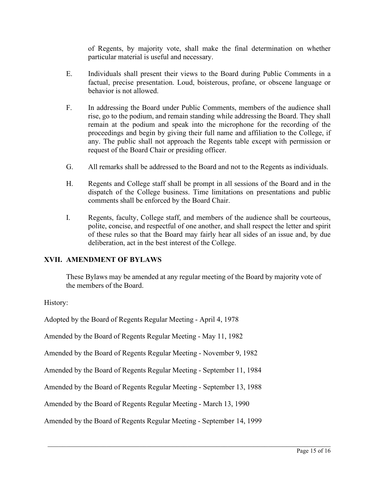of Regents, by majority vote, shall make the final determination on whether particular material is useful and necessary.

- E. Individuals shall present their views to the Board during Public Comments in a factual, precise presentation. Loud, boisterous, profane, or obscene language or behavior is not allowed.
- F. In addressing the Board under Public Comments, members of the audience shall rise, go to the podium, and remain standing while addressing the Board. They shall remain at the podium and speak into the microphone for the recording of the proceedings and begin by giving their full name and affiliation to the College, if any. The public shall not approach the Regents table except with permission or request of the Board Chair or presiding officer.
- G. All remarks shall be addressed to the Board and not to the Regents as individuals.
- H. Regents and College staff shall be prompt in all sessions of the Board and in the dispatch of the College business. Time limitations on presentations and public comments shall be enforced by the Board Chair.
- I. Regents, faculty, College staff, and members of the audience shall be courteous, polite, concise, and respectful of one another, and shall respect the letter and spirit of these rules so that the Board may fairly hear all sides of an issue and, by due deliberation, act in the best interest of the College.

# **XVII. AMENDMENT OF BYLAWS**

These Bylaws may be amended at any regular meeting of the Board by majority vote of the members of the Board.

History:

Adopted by the Board of Regents Regular Meeting - April 4, 1978

Amended by the Board of Regents Regular Meeting - May 11, 1982

Amended by the Board of Regents Regular Meeting - November 9, 1982

Amended by the Board of Regents Regular Meeting - September 11, 1984

Amended by the Board of Regents Regular Meeting - September 13, 1988

Amended by the Board of Regents Regular Meeting - March 13, 1990

Amended by the Board of Regents Regular Meeting - September 14, 1999